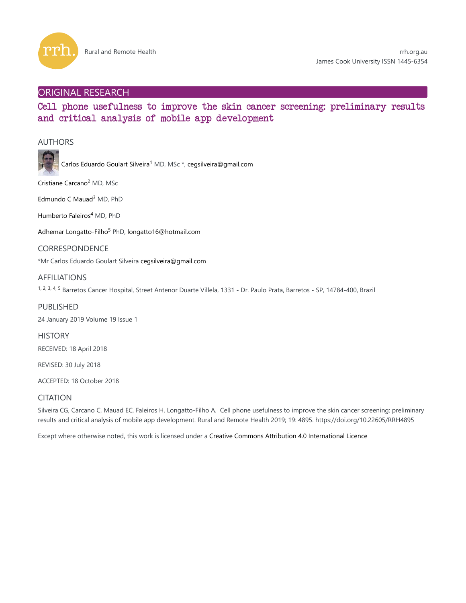

# ORIGINAL RESEARCH

# Cell phone usefulness to improve the skin cancer screening: preliminary results and critical analysis of mobile app development

## AUTHORS



Carlos Eduardo Goulart Silveira<sup>1</sup> MD, MSc \*, cegsilveira@gmail.com

Cristiane Carcano<sup>2</sup> MD, MSc

Edmundo C Mauad<sup>3</sup> MD, PhD

Humberto Faleiros<sup>4</sup> MD, PhD

Adhemar Longatto-Filho<sup>5</sup> PhD, longatto16@hotmail.com

CORRESPONDENCE

\*Mr Carlos Eduardo Goulart Silveira cegsilveira@gmail.com

## AFFILIATIONS

1, 2, 3, 4, 5 Barretos Cancer Hospital, Street Antenor Duarte Villela, 1331 - Dr. Paulo Prata, Barretos - SP, 14784-400, Brazil

PUBLISHED

24 January 2019 Volume 19 Issue 1

**HISTORY** RECEIVED: 18 April 2018

REVISED: 30 July 2018

ACCEPTED: 18 October 2018

## **CITATION**

Silveira CG, Carcano C, Mauad EC, Faleiros H, Longatto-Filho A. Cell phone usefulness to improve the skin cancer screening: preliminary results and critical analysis of mobile app development. Rural and Remote Health 2019; 19: 4895. https://doi.org/10.22605/RRH4895

Except where otherwise noted, this work is licensed under a Creative Commons Attribution 4.0 International Licence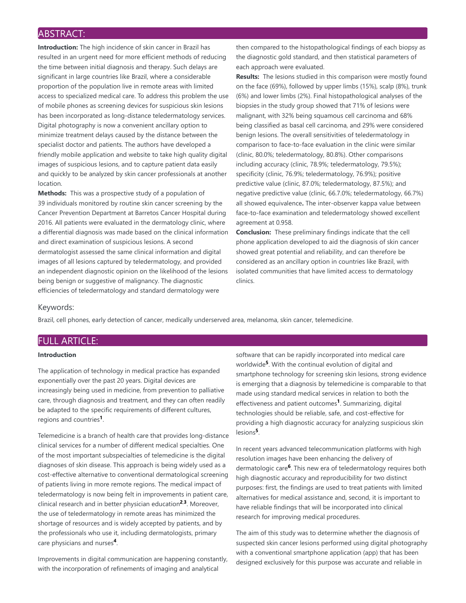# ABSTRACT:

**Introduction:** The high incidence of skin cancer in Brazil has resulted in an urgent need for more efficient methods of reducing the time between initial diagnosis and therapy. Such delays are significant in large countries like Brazil, where a considerable proportion of the population live in remote areas with limited access to specialized medical care. To address this problem the use of mobile phones as screening devices for suspicious skin lesions has been incorporated as long-distance teledermatology services. Digital photography is now a convenient ancillary option to minimize treatment delays caused by the distance between the specialist doctor and patients. The authors have developed a friendly mobile application and website to take high quality digital images of suspicious lesions, and to capture patient data easily and quickly to be analyzed by skin cancer professionals at another location.

**Methods:** This was a prospective study of a population of 39 individuals monitored by routine skin cancer screening by the Cancer Prevention Department at Barretos Cancer Hospital during 2016. All patients were evaluated in the dermatology clinic, where a differential diagnosis was made based on the clinical information and direct examination of suspicious lesions. A second dermatologist assessed the same clinical information and digital images of all lesions captured by teledermatology, and provided an independent diagnostic opinion on the likelihood of the lesions being benign or suggestive of malignancy. The diagnostic efficiencies of teledermatology and standard dermatology were

then compared to the histopathological findings of each biopsy as the diagnostic gold standard, and then statistical parameters of each approach were evaluated.

**Results:** The lesions studied in this comparison were mostly found on the face (69%), followed by upper limbs (15%), scalp (8%), trunk (6%) and lower limbs (2%). Final histopathological analyses of the biopsies in the study group showed that 71% of lesions were malignant, with 32% being squamous cell carcinoma and 68% being classified as basal cell carcinoma, and 29% were considered benign lesions. The overall sensitivities of teledermatology in comparison to face-to-face evaluation in the clinic were similar (clinic, 80.0%; teledermatology, 80.8%). Other comparisons including accuracy (clinic, 78.9%; teledermatology, 79.5%); specificity (clinic, 76.9%; teledermatology, 76.9%); positive predictive value (clinic, 87.0%; teledermatology, 87.5%); and negative predictive value (clinic, 66.7.0%; teledermatology, 66.7%) all showed equivalence**.** The inter-observer kappa value between face-to-face examination and teledermatology showed excellent agreement at 0.958.

**Conclusion:** These preliminary findings indicate that the cell phone application developed to aid the diagnosis of skin cancer showed great potential and reliability, and can therefore be considered as an ancillary option in countries like Brazil, with isolated communities that have limited access to dermatology clinics.

## Keywords:

Brazil, cell phones, early detection of cancer, medically underserved area, melanoma, skin cancer, telemedicine.

# FULL ARTICLE:

## **Introduction**

The application of technology in medical practice has expanded exponentially over the past 20 years. Digital devices are increasingly being used in medicine, from prevention to palliative care, through diagnosis and treatment, and they can often readily be adapted to the specific requirements of different cultures, regions and countries<sup>1</sup>.

Telemedicine is a branch of health care that provides long-distance clinical services for a number of different medical specialties. One of the most important subspecialties of telemedicine is the digital diagnoses of skin disease. This approach is being widely used as a cost-effective alternative to conventional dermatological screening of patients living in more remote regions. The medical impact of teledermatology is now being felt in improvements in patient care, clinical research and in better physician education<sup>2,3</sup>. Moreover, the use of teledermatology in remote areas has minimized the shortage of resources and is widely accepted by patients, and by the professionals who use it, including dermatologists, primary care physicians and nurses<sup>4</sup>.

Improvements in digital communication are happening constantly, with the incorporation of refinements of imaging and analytical

software that can be rapidly incorporated into medical care worldwide<sup>5</sup>. With the continual evolution of digital and smartphone technology for screening skin lesions, strong evidence is emerging that a diagnosis by telemedicine is comparable to that made using standard medical services in relation to both the effectiveness and patient outcomes<sup>1</sup>. Summarizing, digital technologies should be reliable, safe, and cost-effective for providing a high diagnostic accuracy for analyzing suspicious skin lesions<sup>5</sup>.

In recent years advanced telecommunication platforms with high resolution images have been enhancing the delivery of dermatologic care<sup>6</sup>. This new era of teledermatology requires both high diagnostic accuracy and reproducibility for two distinct purposes: first, the findings are used to treat patients with limited alternatives for medical assistance and, second, it is important to have reliable findings that will be incorporated into clinical research for improving medical procedures.

The aim of this study was to determine whether the diagnosis of suspected skin cancer lesions performed using digital photography with a conventional smartphone application (app) that has been designed exclusively for this purpose was accurate and reliable in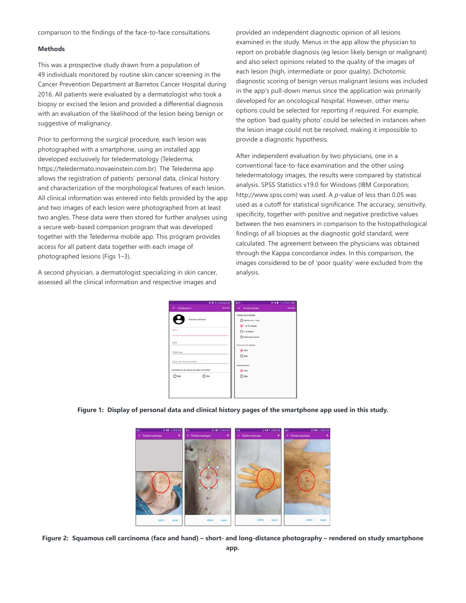comparison to the findings of the face-to-face consultations.

#### **Methods**

This was a prospective study drawn from a population of 49 individuals monitored by routine skin cancer screening in the Cancer Prevention Department at Barretos Cancer Hospital during 2016. All patients were evaluated by a dermatologist who took a biopsy or excised the lesion and provided a differential diagnosis with an evaluation of the likelihood of the lesion being benign or suggestive of malignancy.

Prior to performing the surgical procedure, each lesion was photographed with a smartphone, using an installed app developed exclusively for teledermatology (Telederma; https://teledermato.inovaeinstein.com.br). The Telederma app allows the registration of patients' personal data, clinical history and characterization of the morphological features of each lesion. All clinical information was entered into fields provided by the app and two images of each lesion were photographed from at least two angles. These data were then stored for further analyses using a secure web-based companion program that was developed together with the Telederma mobile app. This program provides access for all patient data together with each image of photographed lesions (Figs 1–3).

A second physician, a dermatologist specializing in skin cancer, assessed all the clinical information and respective images and

provided an independent diagnostic opinion of all lesions examined in the study. Menus in the app allow the physician to report on probable diagnosis (eg lesion likely benign or malignant) and also select opinions related to the quality of the images of each lesion (high, intermediate or poor quality). Dichotomic diagnostic scoring of benign versus malignant lesions was included in the app's pull-down menus since the application was primarily developed for an oncological hospital. However, other menu options could be selected for reporting if required. For example, the option 'bad quality photo' could be selected in instances when the lesion image could not be resolved, making it impossible to provide a diagnostic hypothesis.

After independent evaluation by two physicians, one in a conventional face-to-face examination and the other using teledermatology images, the results were compared by statistical analysis. SPSS Statistics v19.0 for Windows (IBM Corporation; http://www.spss.com) was used. A *p*-value of less than 0.05 was used as a cutoff for statistical significance. The accuracy, sensitivity, specificity, together with positive and negative predictive values between the two examiners in comparison to the histopathological findings of all biopsies as the diagnostic gold standard, were calculated. The agreement between the physicians was obtained through the Kappa concordance index. In this comparison, the images considered to be of 'poor quality' were excluded from the analysis.

| <b>GUILDIAN</b>                            | 99                         | <b>GROTUSTION</b> |
|--------------------------------------------|----------------------------|-------------------|
| X Cadastro                                 | SACHAR<br>X Anamnese       | SACHAR            |
|                                            | Terran de europale:        |                   |
| <b>Tirar Federale Rooter</b>               | C Menos de 1 initis        |                   |
|                                            | (8) 1 a 12 meses           |                   |
| <b>Holland</b>                             | $O$ 143anos                |                   |
|                                            | O Mats (par 3 anos)        |                   |
| CPF.                                       | <b>Oreaciments</b> highlis |                   |
| Telefone                                   | (6) Sim                    |                   |
| Control of Children Carrier and Children   | $O$ Nike                   |                   |
| Data de Nascimento                         |                            |                   |
|                                            | Sangrammento               |                   |
| Há histórico de cáncer de pele na familia? | $\sum_{i=1}^{n}$           |                   |
| $O =$<br>$O$ Nia                           | $O$ Niio                   |                   |
|                                            |                            |                   |
|                                            |                            |                   |
|                                            |                            |                   |

**Figure 1: Display of personal data and clinical history pages of the smartphone app used in this study.**



**Figure 2: Squamous cell carcinoma (face and hand) – short- and long-distance photography – rendered on study smartphone app.**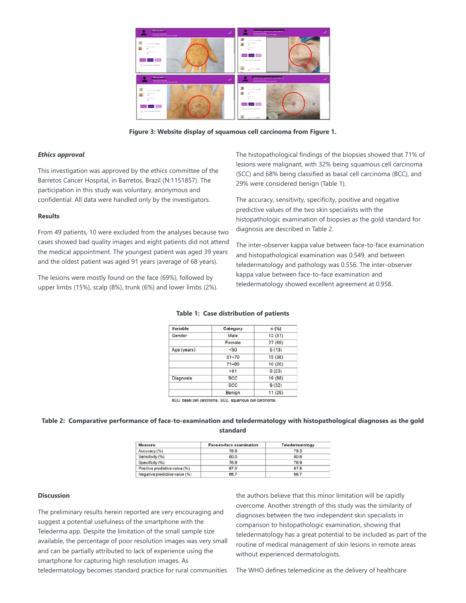

**Figure 3: Website display of squamous cell carcinoma from Figure 1.**

## *Ethics approval*

This investigation was approved by the ethics committee of the Barretos Cancer Hospital, in Barretos, Brazil (N:1151857). The participation in this study was voluntary, anonymous and confidential. All data were handled only by the investigators.

#### **Results**

From 49 patients, 10 were excluded from the analyses because two cases showed bad quality images and eight patients did not attend the medical appointment. The youngest patient was aged 39 years and the oldest patient was aged 91 years (average of 68 years).

The lesions were mostly found on the face (69%), followed by upper limbs (15%), scalp (8%), trunk (6%) and lower limbs (2%). The histopathological findings of the biopsies showed that 71% of lesions were malignant, with 32% being squamous cell carcinoma (SCC) and 68% being classified as basal cell carcinoma (BCC), and 29% were considered benign (Table 1).

The accuracy, sensitivity, specificity, positive and negative predictive values of the two skin specialists with the histopathologic examination of biopsies as the gold standard for diagnosis are described in Table 2.

The inter-observer kappa value between face-to-face examination and histopathological examination was 0.549, and between teledermatology and pathology was 0.556. The inter-observer kappa value between face-to-face examination and teledermatology showed excellent agreement at 0.958.

| Variable    | Category   | $n$ (%) |
|-------------|------------|---------|
| Gender      | Male       | 12(31)  |
|             | Female     | 27(69)  |
| Age (years) | <50        | 5(13)   |
|             | $51 - 70$  | 15(38)  |
|             | $71 - 80$  | 10(26)  |
|             | >81        | 9(23)   |
| Diagnosis   | <b>BCC</b> | 19 (68) |
|             | <b>SCC</b> | 9(32)   |
|             | Benign     | 11(29)  |

#### **Table 1: Case distribution of patients**

BCC, basal cell carcinoma. SCC, squamous cell carcinoma

## **Table 2: Comparative performance of face-to-examination and teledermatology with histopathological diagnoses as the gold standard**

| Measure                       | Face-to-face examination | Teledermatology |  |
|-------------------------------|--------------------------|-----------------|--|
| Accuracy (%)                  | 78.9                     | 79.5            |  |
| Sensitivity (%)               | 80.0                     | 80.8            |  |
| Specificity (%)               | 76.9                     | 76.9            |  |
| Positive predictive value (%) | 87.0                     | 87.5            |  |
| Negative predictive value (%) | 66.7                     | 66.7            |  |

#### **Discussion**

The preliminary results herein reported are very encouraging and suggest a potential usefulness of the smartphone with the Telederma app. Despite the limitation of the small sample size available, the percentage of poor resolution images was very small and can be partially attributed to lack of experience using the smartphone for capturing high resolution images. As teledermatology becomes standard practice for rural communities the authors believe that this minor limitation will be rapidly overcome. Another strength of this study was the similarity of diagnoses between the two independent skin specialists in comparison to histopathologic examination, showing that teledermatology has a great potential to be included as part of the routine of medical management of skin lesions in remote areas without experienced dermatologists.

The WHO defines telemedicine as the delivery of healthcare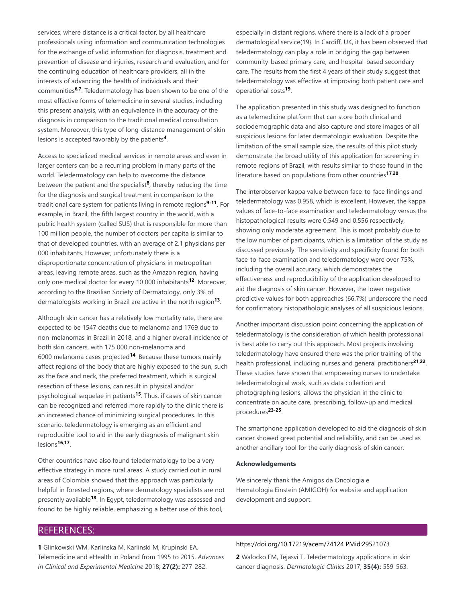services, where distance is a critical factor, by all healthcare professionals using information and communication technologies for the exchange of valid information for diagnosis, treatment and prevention of disease and injuries, research and evaluation, and for the continuing education of healthcare providers, all in the interests of advancing the health of individuals and their communities<sup>6,7</sup>. Teledermatology has been shown to be one of the most effective forms of telemedicine in several studies, including this present analysis, with an equivalence in the accuracy of the diagnosis in comparison to the traditional medical consultation system. Moreover, this type of long-distance management of skin lesions is accepted favorably by the patients<sup>4</sup>.

Access to specialized medical services in remote areas and even in larger centers can be a recurring problem in many parts of the world. Teledermatology can help to overcome the distance between the patient and the specialist<sup>8</sup>, thereby reducing the time for the diagnosis and surgical treatment in comparison to the traditional care system for patients living in remote regions<sup>9-11</sup>. For example, in Brazil, the fifth largest country in the world, with a public health system (called SUS) that is responsible for more than 100 million people, the number of doctors per capita is similar to that of developed countries, with an average of 2.1 physicians per 000 inhabitants. However, unfortunately there is a disproportionate concentration of physicians in metropolitan areas, leaving remote areas, such as the Amazon region, having only one medical doctor for every 10 000 inhabitants<sup>12</sup>. Moreover, according to the Brazilian Society of Dermatology, only 3% of dermatologists working in Brazil are active in the north region<sup>13</sup>.

Although skin cancer has a relatively low mortality rate, there are expected to be 1547 deaths due to melanoma and 1769 due to non-melanomas in Brazil in 2018, and a higher overall incidence of both skin cancers, with 175 000 non-melanoma and 6000 melanoma cases projected<sup>14</sup>. Because these tumors mainly affect regions of the body that are highly exposed to the sun, such as the face and neck, the preferred treatment, which is surgical resection of these lesions, can result in physical and/or psychological sequelae in patients<sup>15</sup>. Thus, if cases of skin cancer can be recognized and referred more rapidly to the clinic there is an increased chance of minimizing surgical procedures. In this scenario, teledermatology is emerging as an efficient and reproducible tool to aid in the early diagnosis of malignant skin **lesions<sup>16,17</sup>.** 

Other countries have also found teledermatology to be a very effective strategy in more rural areas. A study carried out in rural areas of Colombia showed that this approach was particularly helpful in forested regions, where dermatology specialists are not presently available<sup>18</sup>. In Egypt, teledermatology was assessed and found to be highly reliable, emphasizing a better use of this tool,

especially in distant regions, where there is a lack of a proper dermatological service(19}. In Cardiff, UK, it has been observed that teledermatology can play a role in bridging the gap between community-based primary care, and hospital-based secondary care. The results from the first 4 years of their study suggest that teledermatology was effective at improving both patient care and operational costs<sup>19</sup>.

The application presented in this study was designed to function as a telemedicine platform that can store both clinical and sociodemographic data and also capture and store images of all suspicious lesions for later dermatologic evaluation. Despite the limitation of the small sample size, the results of this pilot study demonstrate the broad utility of this application for screening in remote regions of Brazil, with results similar to those found in the literature based on populations from other countries<sup>17,20</sup>.

The interobserver kappa value between face-to-face findings and teledermatology was 0.958, which is excellent. However, the kappa values of face-to-face examination and teledermatology versus the histopathological results were 0.549 and 0.556 respectively, showing only moderate agreement. This is most probably due to the low number of participants, which is a limitation of the study as discussed previously. The sensitivity and specificity found for both face-to-face examination and teledermatology were over 75%, including the overall accuracy, which demonstrates the effectiveness and reproducibility of the application developed to aid the diagnosis of skin cancer. However, the lower negative predictive values for both approaches (66.7%) underscore the need for confirmatory histopathologic analyses of all suspicious lesions.

Another important discussion point concerning the application of teledermatology is the consideration of which health professional is best able to carry out this approach. Most projects involving teledermatology have ensured there was the prior training of the health professional, including nurses and general practitioners<sup>21,22</sup>. These studies have shown that empowering nurses to undertake teledermatological work, such as data collection and photographing lesions, allows the physician in the clinic to concentrate on acute care, prescribing, follow-up and medical procedures<sup>23-25</sup>.

The smartphone application developed to aid the diagnosis of skin cancer showed great potential and reliability, and can be used as another ancillary tool for the early diagnosis of skin cancer.

#### **Acknowledgements**

We sincerely thank the Amigos da Oncologia e Hematologia Einstein (AMIGOH) for website and application development and support.

## REFERENCES:

**1** Glinkowski WM, Karlinska M, Karlinski M, Krupinski EA. Telemedicine and eHealth in Poland from 1995 to 2015. *Advances in Clinical and Experimental Medicine* 2018; **27(2):** 277-282.

#### https://doi.org/10.17219/acem/74124 PMid:29521073

**2** Walocko FM, Tejasvi T. Teledermatology applications in skin cancer diagnosis. *Dermatologic Clinics* 2017; **35(4):** 559-563.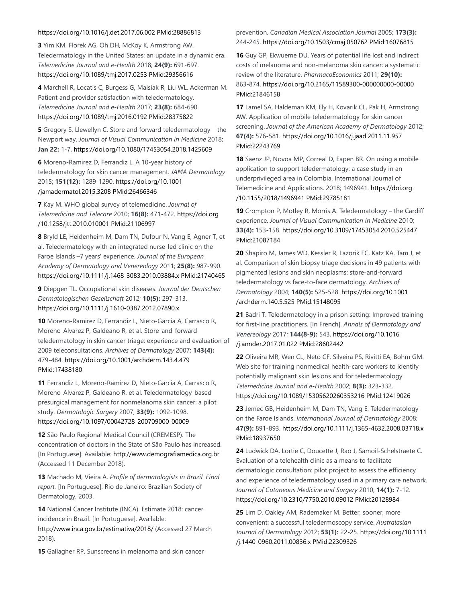### https://doi.org/10.1016/j.det.2017.06.002 PMid:28886813

**3** Yim KM, Florek AG, Oh DH, McKoy K, Armstrong AW. Teledermatology in the United States: an update in a dynamic era. *Telemedicine Journal and e-Health* 2018; **24(9):** 691-697. https://doi.org/10.1089/tmj.2017.0253 PMid:29356616

**4** Marchell R, Locatis C, Burgess G, Maisiak R, Liu WL, Ackerman M. Patient and provider satisfaction with teledermatology. *Telemedicine Journal and e-Health* 2017; **23(8):** 684-690. https://doi.org/10.1089/tmj.2016.0192 PMid:28375822

**5** Gregory S, Llewellyn C. Store and forward teledermatology – the Newport way. *Journal of Visual Communication in Medicine* 2018; **Jan 22:** 1-7. https://doi.org/10.1080/17453054.2018.1425609

**6** Moreno-Ramirez D, Ferrandiz L. A 10-year history of teledermatology for skin cancer management. *JAMA Dermatology* 2015; **151(12):** 1289-1290. https://doi.org/10.1001 /jamadermatol.2015.3208 PMid:26466346

**7** Kay M. WHO global survey of telemedicine. *Journal of Telemedicine and Telecare* 2010; **16(8):** 471-472. https://doi.org /10.1258/jtt.2010.010001 PMid:21106997

**8** Bryld LE, Heidenheim M, Dam TN, Dufour N, Vang E, Agner T, et al. Teledermatology with an integrated nurse-led clinic on the Faroe Islands –7 years' experience. *Journal of the European Academy of Dermatology and Venereology* 2011; **25(8):** 987-990. https://doi.org/10.1111/j.1468-3083.2010.03884.x PMid:21740465

**9** Diepgen TL. Occupational skin diseases. *Journal der Deutschen Dermatologischen Gesellschaft* 2012; **10(5):** 297-313. https://doi.org/10.1111/j.1610-0387.2012.07890.x

**10** Moreno-Ramirez D, Ferrandiz L, Nieto-Garcia A, Carrasco R, Moreno-Alvarez P, Galdeano R, et al. Store-and-forward teledermatology in skin cancer triage: experience and evaluation of 2009 teleconsultations. *Archives of Dermatology* 2007; **143(4):** 479-484. https://doi.org/10.1001/archderm.143.4.479 PMid:17438180

**11** Ferrandiz L, Moreno-Ramirez D, Nieto-Garcia A, Carrasco R, Moreno-Alvarez P, Galdeano R, et al. Teledermatology-based presurgical management for nonmelanoma skin cancer: a pilot study. *Dermatologic Surgery* 2007; **33(9):** 1092-1098. https://doi.org/10.1097/00042728-200709000-00009

**12** São Paulo Regional Medical Council (CREMESP). The concentration of doctors in the State of São Paulo has increased. [In Portuguese]. Available: http://www.demografiamedica.org.br (Accessed 11 December 2018).

**13** Machado M, Vieira A. *Profile of dermatologists in Brazil. Final report.* [In Portuguese]. Rio de Janeiro: Brazilian Society of Dermatology, 2003.

**14** National Cancer Institute (INCA). Estimate 2018: cancer incidence in Brazil. [In Portuguese]. Available: http://www.inca.gov.br/estimativa/2018/ (Accessed 27 March 2018).

**15** Gallagher RP. Sunscreens in melanoma and skin cancer

## prevention. *Canadian Medical Association Journal* 2005; **173(3):** 244-245. https://doi.org/10.1503/cmaj.050762 PMid:16076815

**16** Guy GP, Ekwueme DU. Years of potential life lost and indirect costs of melanoma and non-melanoma skin cancer: a systematic review of the literature. *PharmacoEconomics* 2011; **29(10):** 863-874. https://doi.org/10.2165/11589300-000000000-00000 PMid:21846158

**17** Lamel SA, Haldeman KM, Ely H, Kovarik CL, Pak H, Armstrong AW. Application of mobile teledermatology for skin cancer screening. *Journal of the American Academy of Dermatology* 2012; **67(4):** 576-581. https://doi.org/10.1016/j.jaad.2011.11.957 PMid:22243769

**18** Saenz JP, Novoa MP, Correal D, Eapen BR. On using a mobile application to support teledermatology: a case study in an underprivileged area in Colombia. International Journal of Telemedicine and Applications. 2018; 1496941. https://doi.org /10.1155/2018/1496941 PMid:29785181

**19** Crompton P, Motley R, Morris A. Teledermatology – the Cardiff experience. *Journal of Visual Communication in Medicine* 2010; **33(4):** 153-158. https://doi.org/10.3109/17453054.2010.525447 PMid:21087184

**20** Shapiro M, James WD, Kessler R, Lazorik FC, Katz KA, Tam J, et al. Comparison of skin biopsy triage decisions in 49 patients with pigmented lesions and skin neoplasms: store-and-forward teledermatology vs face-to-face dermatology. *Archives of Dermatology* 2004; **140(5):** 525-528. https://doi.org/10.1001 /archderm.140.5.525 PMid:15148095

**21** Badri T. Teledermatology in a prison setting: Improved training for first-line practitioners. [In French]. *Annals of Dermatology and Venereology* 2017; **144(8-9):** 543. https://doi.org/10.1016 /j.annder.2017.01.022 PMid:28602442

**22** Oliveira MR, Wen CL, Neto CF, Silveira PS, Rivitti EA, Bohm GM. Web site for training nonmedical health-care workers to identify potentially malignant skin lesions and for teledermatology. *Telemedicine Journal and e-Health* 2002; **8(3):** 323-332. https://doi.org/10.1089/15305620260353216 PMid:12419026

**23** Jemec GB, Heidenheim M, Dam TN, Vang E. Teledermatology on the Faroe Islands. *International Journal of Dermatology* 2008; **47(9):** 891-893. https://doi.org/10.1111/j.1365-4632.2008.03718.x PMid:18937650

**24** Ludwick DA, Lortie C, Doucette J, Rao J, Samoil-Schelstraete C. Evaluation of a telehealth clinic as a means to facilitate dermatologic consultation: pilot project to assess the efficiency and experience of teledermatology used in a primary care network. *Journal of Cutaneous Medicine and Surgery* 2010; **14(1):** 7-12. https://doi.org/10.2310/7750.2010.09012 PMid:20128984

**25** Lim D, Oakley AM, Rademaker M. Better, sooner, more convenient: a successful teledermoscopy service. *Australasian Journal of Dermatology* 2012; **53(1):** 22-25. https://doi.org/10.1111 /j.1440-0960.2011.00836.x PMid:22309326